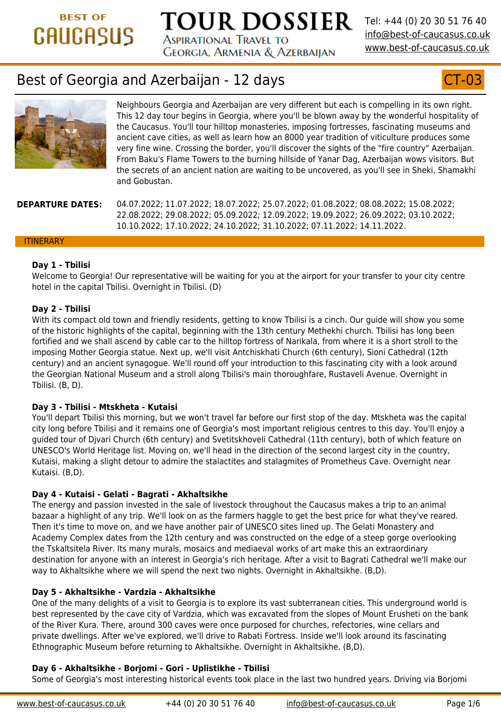## **Day 1 - Tbilisi**

[Welcome to Georgia! Our representative will be waiting for you at the airport for your t](https://www.best-of-caucasus.co.uk/en)ransfer hotel in the capital Tbilisi. Overnight in Tbilisi. (D)

### **Day 2 - Tbilisi**

With its compact old town and friendly residents, getting to know Tbilisi is a cinch. Our guide will show that of the historic highlights of the capital, beginning with the 13th century Methekhi church fortified and we shall ascend by cable car to the hilltop fortress of Narikala, from where it imposing Mother Georgia statue. Next up, we'll visit Antchiskhati Church (6th century), S century) and an ancient synagogue. We'll round off your introduction to this fascinating the Georgian National Museum and a stroll along Tbilisi's main thoroughfare, Rustaveli A Tbilisi. (B, D).

## **Day 3 - Tbilisi - Mtskheta - Kutaisi**

You'll depart Tbilisi this morning, but we won't travel far before our first stop of the day. city long before Tbilisi and it remains one of Georgia's most important religious centres to guided tour of Djvari Church (6th century) and Svetitskhoveli Cathedral (11th century), both of which feature UNESCO's World Heritage list. Moving on, we'll head in the direction of the second larges Kutaisi, making a slight detour to admire the stalactites and stalagmites of Prometheus Kutaisi. (B,D).

## **Day 4 - Kutaisi - Gelati - Bagrati - Akhaltsikhe**

The energy and passion invested in the sale of livestock throughout the Caucasus makes bazaar a highlight of any trip. We'll look on as the farmers haggle to get the best price for Then it's time to move on, and we have another pair of UNESCO sites lined up. The Gelati Academy Complex dates from the 12th century and was constructed on the edge of a st the Tskaltsitela River. Its many murals, mosaics and mediaeval works of art make this an destination for anyone with an interest in Georgia's rich heritage. After a visit to Bagrati way to Akhaltsikhe where we will spend the next two nights. Overnight in Akhaltsikhe. (E

## **Day 5 - Akhaltsikhe - Vardzia - Akhaltsikhe**

One of the many delights of a visit to Georgia is to explore its vast subterranean cities. This underground world is underground world is underground world in the many delights in best represented by the cave city of Vardzia, which was excavated from the slopes of Mo of the River Kura. There, around 300 caves were once purposed for churches, refectories private dwellings. After we've explored, we'll drive to Rabati Fortress. Inside we'll look ar Ethnographic Museum before returning to Akhaltsikhe. Overnight in Akhaltsikhe. (B,D).

## **Day 6 - Akhaltsikhe - Borjomi - Gori - Uplistikhe - Tbilisi**

Some of Georgia's most interesting historical events took place in the last two hundred y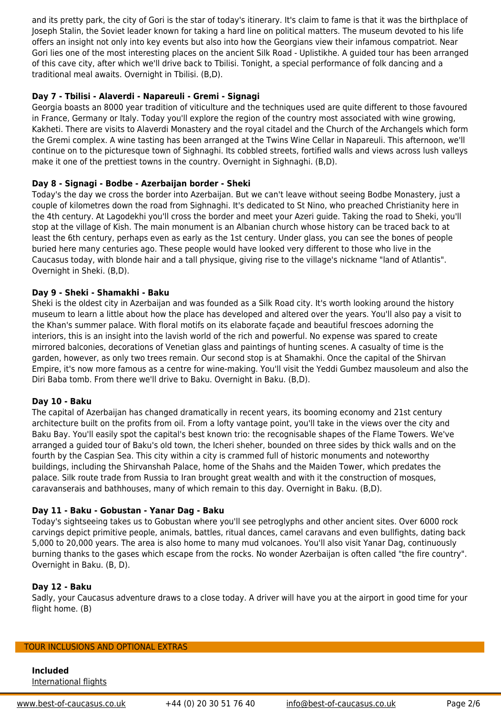least the 6th century, perhaps even as early as the 1st century. Under glass, you can se buried here many centuries ago. These people would have looked very different to those Caucasus today, with blonde hair and a tall physique, giving rise to the village's nicknam Overnight in Sheki. (B,D).

## **Day 9 - Sheki - Shamakhi - Baku**

Sheki is the oldest city in Azerbaijan and was founded as a Silk Road city. It's worth looki museum to learn a little about how the place has developed and altered over the years. the Khan's summer palace. With floral motifs on its elaborate façade and beautiful fresco interiors, this is an insight into the lavish world of the rich and powerful. No expense was mirrored balconies, decorations of Venetian glass and paintings of hunting scenes. A cas garden, however, as only two trees remain. Our second stop is at Shamakhi. Once the ca Empire, it's now more famous as a centre for wine-making. You'll visit the Yeddi Gumbez Diri Baba tomb. From there we'll drive to Baku. Overnight in Baku. (B,D).

## **Day 10 - Baku**

The capital of Azerbaijan has changed dramatically in recent years, its booming econom architecture built on the profits from oil. From a lofty vantage point, you'll take in the vie Baku Bay. You'll easily spot the capital's best known trio: the recognisable shapes of the arranged a guided tour of Baku's old town, the Icheri sheher, bounded on three sides by fourth by the Caspian Sea. This city within a city is crammed full of historic monuments and noteworth buildings, including the Shirvanshah Palace, home of the Shahs and the Maiden Tower, v palace. Silk route trade from Russia to Iran brought great wealth and with it the construction of mostruction o caravanserais and bathhouses, many of which remain to this day. Overnight in Baku. (B,

#### **Day 11 - Baku - Gobustan - Yanar Dag - Baku**

Today's sightseeing takes us to Gobustan where you'll see petroglyphs and other ancient carvings depict primitive people, animals, battles, ritual dances, camel caravans and eve 5,000 to 20,000 years. The area is also home to many mud volcanoes. You'll also visit Ya burning thanks to the gases which escape from the rocks. No wonder Azerbaijan is often Overnight in Baku. (B, D).

## **Day 12 - Baku**

Sadly, your Caucasus adventure draws to a close today. A driver will have you at the air flight home. (B)

#### TOUR INCLUSIONS AND OPTIONAL EXTRAS

**Included** International flights

www.best-of-caucasus.co.uk +44 (0) 20 30 51 76 40 info@best-of-caucasus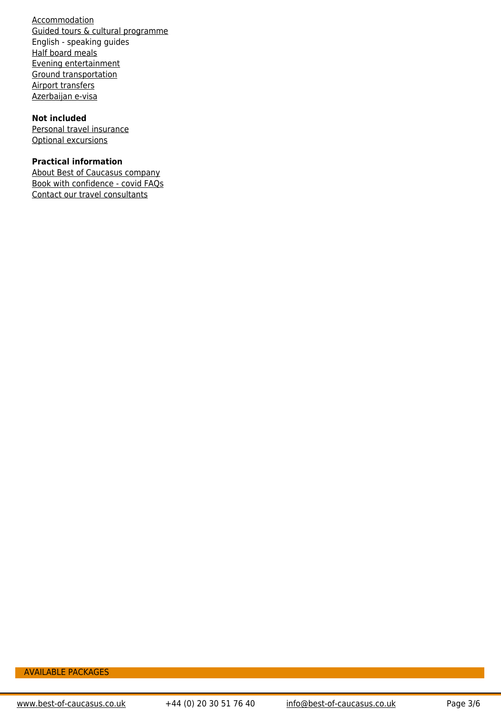AVAILABLE PACKAGES

www.best-of-caucasus.co.uk +44 (0) 20 30 51 76 40 info@best-of-caucasus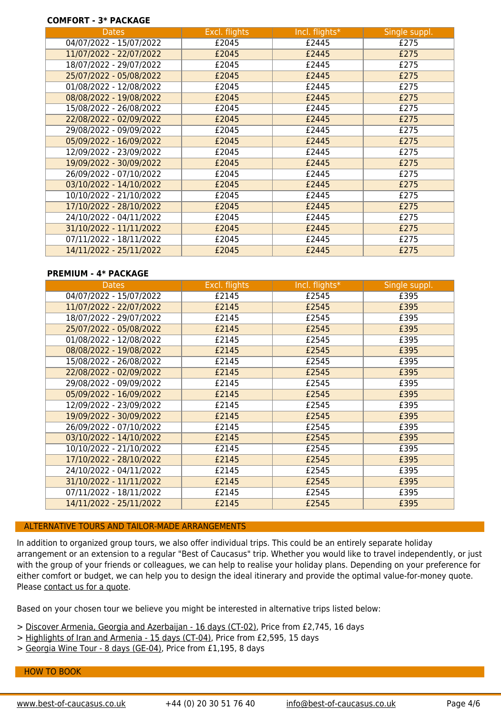| 07/11/2022 - 18/11/2022 | £2045        | - 144      |
|-------------------------|--------------|------------|
| 14/11/2022 - 25/11/2022 | 114<br>ᆂᆮᇦᅮᅴ | .211F<br>' |

### **PREMIUM - 4\* PACKAGE**

| <b>Dates</b>            | Excl. flights | Incl. flights* |
|-------------------------|---------------|----------------|
| 04/07/2022 - 15/07/2022 | £2145         | £2545          |
| 11/07/2022 - 22/07/2022 | £2145         | £2545          |
| 18/07/2022 - 29/07/2022 | £2145         | £2545          |
| 25/07/2022 - 05/08/2022 | £2145         | £2545          |
| 01/08/2022 - 12/08/2022 | £2145         | £2545          |
| 08/08/2022 - 19/08/2022 | £2145         | £2545          |
| 15/08/2022 - 26/08/2022 | £2145         | £2545          |
| 22/08/2022 - 02/09/2022 | £2145         | £2545          |
| 29/08/2022 - 09/09/2022 | £2145         | £2545          |
| 05/09/2022 - 16/09/2022 | £2145         | £2545          |
| 12/09/2022 - 23/09/2022 | £2145         | £2545          |
| 19/09/2022 - 30/09/2022 | £2145         | £2545          |
| 26/09/2022 - 07/10/2022 | £2145         | £2545          |
| 03/10/2022 - 14/10/2022 | £2145         | £2545          |
| 10/10/2022 - 21/10/2022 | £2145         | £2545          |
| 17/10/2022 - 28/10/2022 | £2145         | £2545          |
| 24/10/2022 - 04/11/2022 | £2145         | £2545          |
| 31/10/2022 - 11/11/2022 | £2145         | £2545          |
| 07/11/2022 - 18/11/2022 | £2145         | £2545          |
| 14/11/2022 - 25/11/2022 | £2145         | £2545          |

## ALTERNATIVE TOURS AND TAILOR-MADE ARRANGEMENTS

In addition to organized group tours, we also offer individual trips. This could be an entirely separate holiday arrangement or an extension to a regular "Best of Caucasus" trip. Whether you would like to with the group of your friends or colleagues, we can help to realise your holiday plans. Depe either comfort or budget, we can help you to design the ideal itinerary and provide the optin Please contact us for a quote.

Based on your chosen tour we believe you might be interested in alternative trips listed below

- > Discover Armenia, Georgia and Azerbaijan 16 days (CT-02), Price from £2,745, 16 days
- > Highlights of Iran and Armenia 15 days (CT-04), Price from £2,595, 15 days
- > Georgia Wine Tour 8 days (GE-04), Price from £1,195, 8 days

#### HOW TO BOOK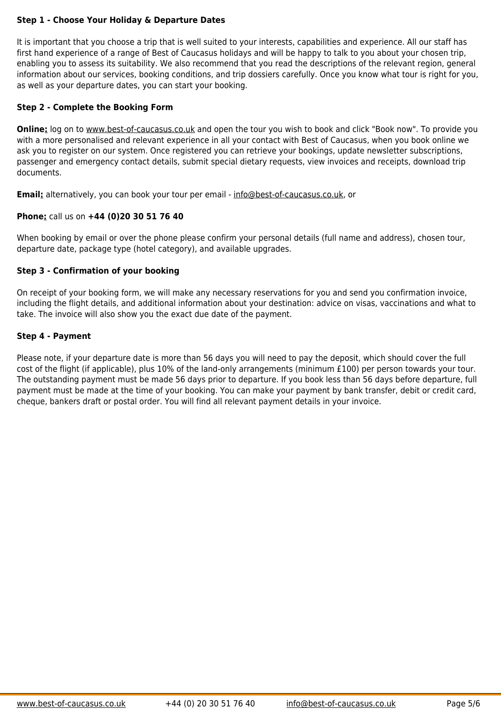When booking by email or over the phone please confirm your personal details (full name ar departure date, package type (hotel category), and available upgrades.

# **Step 3 - Confirmation of your booking**

On receipt of your booking form, we will make any necessary reservations for you and send including the flight details, and additional information about your destination: advice on visa take. The invoice will also show you the exact due date of the payment.

## **Step 4 - Payment**

Please note, if your departure date is more than 56 days you will need to pay the deposit, w cost of the flight ([if applicable\), plus 10% of the](https://www.best-of-caucasus.co.uk/en/quick_trip_finder.html) land-only arrangements (minimum £100) per The outstanding payment must be made 56 days prior to departure. If you book less than 56 payment must be made at the time of your booking. You can make your payment by bank transfer, debit or card, de cheque, bankers draft or postal order. You will find all relevant payment details in your invoi